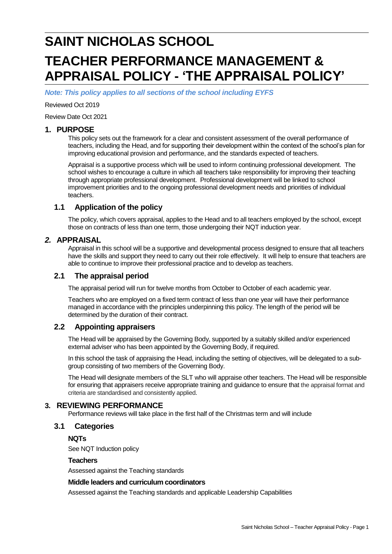# **SAINT NICHOLAS SCHOOL TEACHER PERFORMANCE MANAGEMENT & APPRAISAL POLICY - 'THE APPRAISAL POLICY'**

*Note: This policy applies to all sections of the school including EYFS*

Reviewed Oct 2019

Review Date Oct 2021

#### **1. PURPOSE**

This policy sets out the framework for a clear and consistent assessment of the overall performance of teachers, including the Head, and for supporting their development within the context of the school's plan for improving educational provision and performance, and the standards expected of teachers.

Appraisal is a supportive process which will be used to inform continuing professional development. The school wishes to encourage a culture in which all teachers take responsibility for improving their teaching through appropriate professional development. Professional development will be linked to school improvement priorities and to the ongoing professional development needs and priorities of individual teachers.

#### **1.1 Application of the policy**

The policy, which covers appraisal, applies to the Head and to all teachers employed by the school, except those on contracts of less than one term, those undergoing their NQT induction year.

#### *2.* **APPRAISAL**

Appraisal in this school will be a supportive and developmental process designed to ensure that all teachers have the skills and support they need to carry out their role effectively. It will help to ensure that teachers are able to continue to improve their professional practice and to develop as teachers.

#### **2.1 The appraisal period**

The appraisal period will run for twelve months from October to October of each academic year.

Teachers who are employed on a fixed term contract of less than one year will have their performance managed in accordance with the principles underpinning this policy. The length of the period will be determined by the duration of their contract.

## **2.2 Appointing appraisers**

The Head will be appraised by the Governing Body, supported by a suitably skilled and/or experienced external adviser who has been appointed by the Governing Body, if required.

In this school the task of appraising the Head, including the setting of objectives, will be delegated to a subgroup consisting of two members of the Governing Body.

The Head will designate members of the SLT who will appraise other teachers. The Head will be responsible for ensuring that appraisers receive appropriate training and guidance to ensure that the appraisal format and criteria are standardised and consistently applied.

## **3. REVIEWING PERFORMANCE**

Performance reviews will take place in the first half of the Christmas term and will include

#### **3.1 Categories**

**NQTs**

See NQT Induction policy

#### **Teachers**

Assessed against the Teaching standards

#### **Middle leaders and curriculum coordinators**

Assessed against the Teaching standards and applicable Leadership Capabilities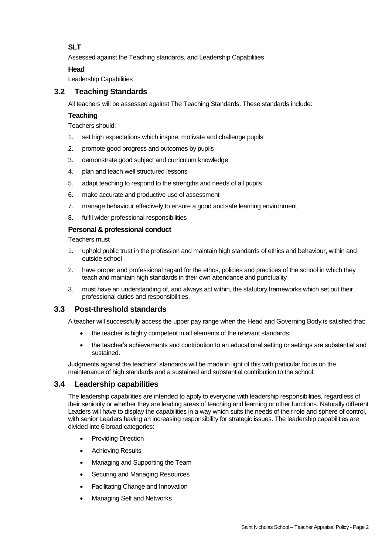# **SLT**

Assessed against the Teaching standards, and Leadership Capabilities

## **Head**

Leadership Capabilities

## **3.2 Teaching Standards**

All teachers will be assessed against The Teaching Standards. These standards include:

## **Teaching**

Teachers should:

- 1. set high expectations which inspire, motivate and challenge pupils
- 2. promote good progress and outcomes by pupils
- 3. demonstrate good subject and curriculum knowledge
- 4. plan and teach well structured lessons
- 5. adapt teaching to respond to the strengths and needs of all pupils
- 6. make accurate and productive use of assessment
- 7. manage behaviour effectively to ensure a good and safe learning environment
- 8. fulfil wider professional responsibilities

#### **Personal & professional conduct**

Teachers must

- 1. uphold public trust in the profession and maintain high standards of ethics and behaviour, within and outside school
- 2. have proper and professional regard for the ethos, policies and practices of the school in which they teach and maintain high standards in their own attendance and punctuality
- 3. must have an understanding of, and always act within, the statutory frameworks which set out their professional duties and responsibilities.

## **3.3 Post-threshold standards**

A teacher will successfully access the upper pay range when the Head and Governing Body is satisfied that:

- the teacher is highly competent in all elements of the relevant standards;
- the teacher's achievements and contribution to an educational setting or settings are substantial and sustained.

Judgments against the teachers' standards will be made in light of this with particular focus on the maintenance of high standards and a sustained and substantial contribution to the school.

## **3.4 Leadership capabilities**

The leadership capabilities are intended to apply to everyone with leadership responsibilities, regardless of their seniority or whether they are leading areas of teaching and learning or other functions. Naturally different Leaders will have to display the capabilities in a way which suits the needs of their role and sphere of control, with senior Leaders having an increasing responsibility for strategic issues. The leadership capabilities are divided into 6 broad categories:

- Providing Direction
- Achieving Results
- Managing and Supporting the Team
- Securing and Managing Resources
- Facilitating Change and Innovation
- Managing Self and Networks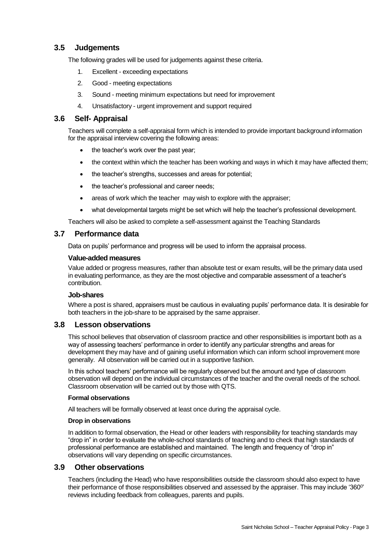# **3.5 Judgements**

The following grades will be used for judgements against these criteria.

- 1. Excellent exceeding expectations
- 2. Good meeting expectations
- 3. Sound meeting minimum expectations but need for improvement
- 4. Unsatisfactory urgent improvement and support required

#### **3.6 Self- Appraisal**

Teachers will complete a self-appraisal form which is intended to provide important background information for the appraisal interview covering the following areas:

- the teacher's work over the past year;
- the context within which the teacher has been working and ways in which it may have affected them;
- the teacher's strengths, successes and areas for potential;
- the teacher's professional and career needs;
- areas of work which the teacher may wish to explore with the appraiser;
- what developmental targets might be set which will help the teacher's professional development.

Teachers will also be asked to complete a self-assessment against the Teaching Standards

#### **3.7 Performance data**

Data on pupils' performance and progress will be used to inform the appraisal process.

#### **Value-added measures**

Value added or progress measures, rather than absolute test or exam results, will be the primary data used in evaluating performance, as they are the most objective and comparable assessment of a teacher's contribution.

#### **Job-shares**

Where a post is shared, appraisers must be cautious in evaluating pupils' performance data. It is desirable for both teachers in the job-share to be appraised by the same appraiser.

#### **3.8 Lesson observations**

This school believes that observation of classroom practice and other responsibilities is important both as a way of assessing teachers' performance in order to identify any particular strengths and areas for development they may have and of gaining useful information which can inform school improvement more generally. All observation will be carried out in a supportive fashion.

In this school teachers' performance will be regularly observed but the amount and type of classroom observation will depend on the individual circumstances of the teacher and the overall needs of the school. Classroom observation will be carried out by those with QTS.

#### **Formal observations**

All teachers will be formally observed at least once during the appraisal cycle.

#### **Drop in observations**

In addition to formal observation, the Head or other leaders with responsibility for teaching standards may "drop in" in order to evaluate the whole-school standards of teaching and to check that high standards of professional performance are established and maintained. The length and frequency of "drop in" observations will vary depending on specific circumstances.

#### **3.9 Other observations**

Teachers (including the Head) who have responsibilities outside the classroom should also expect to have their performance of those responsibilities observed and assessed by the appraiser. This may include '360<sup>o</sup>' reviews including feedback from colleagues, parents and pupils.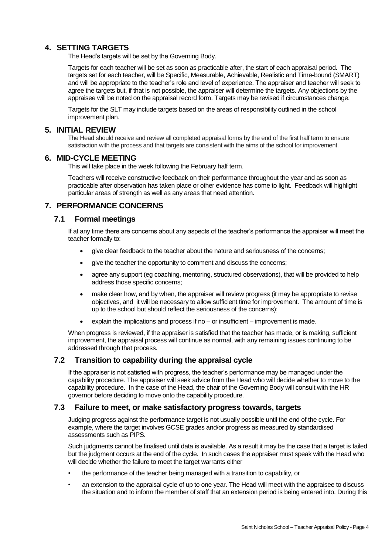## **4. SETTING TARGETS**

The Head's targets will be set by the Governing Body.

Targets for each teacher will be set as soon as practicable after, the start of each appraisal period. The targets set for each teacher, will be Specific, Measurable, Achievable, Realistic and Time-bound (SMART) and will be appropriate to the teacher's role and level of experience. The appraiser and teacher will seek to agree the targets but, if that is not possible, the appraiser will determine the targets. Any objections by the appraisee will be noted on the appraisal record form. Targets may be revised if circumstances change.

Targets for the SLT may include targets based on the areas of responsibility outlined in the school improvement plan.

#### **5. INITIAL REVIEW**

The Head should receive and review all completed appraisal forms by the end of the first half term to ensure satisfaction with the process and that targets are consistent with the aims of the school for improvement.

#### **6. MID-CYCLE MEETING**

This will take place in the week following the February half term.

Teachers will receive constructive feedback on their performance throughout the year and as soon as practicable after observation has taken place or other evidence has come to light. Feedback will highlight particular areas of strength as well as any areas that need attention.

## **7. PERFORMANCE CONCERNS**

#### **7.1 Formal meetings**

If at any time there are concerns about any aspects of the teacher's performance the appraiser will meet the teacher formally to:

- give clear feedback to the teacher about the nature and seriousness of the concerns;
- give the teacher the opportunity to comment and discuss the concerns;
- agree any support (eg coaching, mentoring, structured observations), that will be provided to help address those specific concerns;
- make clear how, and by when, the appraiser will review progress (it may be appropriate to revise objectives, and it will be necessary to allow sufficient time for improvement. The amount of time is up to the school but should reflect the seriousness of the concerns);
- explain the implications and process if no or insufficient improvement is made.

When progress is reviewed, if the appraiser is satisfied that the teacher has made, or is making, sufficient improvement, the appraisal process will continue as normal, with any remaining issues continuing to be addressed through that process.

## **7.2 Transition to capability during the appraisal cycle**

If the appraiser is not satisfied with progress, the teacher's performance may be managed under the capability procedure. The appraiser will seek advice from the Head who will decide whether to move to the capability procedure. In the case of the Head, the chair of the Governing Body will consult with the HR governor before deciding to move onto the capability procedure.

#### **7.3 Failure to meet, or make satisfactory progress towards, targets**

Judging progress against the performance target is not usually possible until the end of the cycle. For example, where the target involves GCSE grades and/or progress as measured by standardised assessments such as PIPS.

Such judgments cannot be finalised until data is available. As a result it may be the case that a target is failed but the judgment occurs at the end of the cycle. In such cases the appraiser must speak with the Head who will decide whether the failure to meet the target warrants either

- the performance of the teacher being managed with a transition to capability, or
- an extension to the appraisal cycle of up to one year. The Head will meet with the appraisee to discuss the situation and to inform the member of staff that an extension period is being entered into. During this